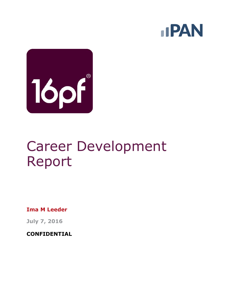



# Career Development Report

**Ima M Leeder**

**July 7, 2016**

**CONFIDENTIAL**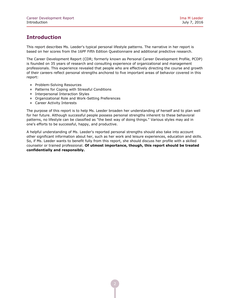## **Introduction**

This report describes Ms. Leeder's typical personal lifestyle patterns. The narrative in her report is based on her scores from the 16PF Fifth Edition Questionnaire and additional predictive research.

The Career Development Report (CDR; formerly known as Personal Career Development Profile, PCDP) is founded on 35 years of research and consulting experience of organizational and management professionals. This experience revealed that people who are effectively directing the course and growth of their careers reflect personal strengths anchored to five important areas of behavior covered in this report:

- Problem-Solving Resources
- Patterns for Coping with Stressful Conditions
- **Interpersonal Interaction Styles**
- Organizational Role and Work-Setting Preferences
- **Career Activity Interests**

The purpose of this report is to help Ms. Leeder broaden her understanding of herself and to plan well for her future. Although successful people possess personal strengths inherent to these behavioral patterns, no lifestyle can be classified as "the best way of doing things." Various styles may aid in one's efforts to be successful, happy, and productive.

A helpful understanding of Ms. Leeder's reported personal strengths should also take into account other significant information about her, such as her work and leisure experiences, education and skills. So, if Ms. Leeder wants to benefit fully from this report, she should discuss her profile with a skilled counselor or trained professional. **Of utmost importance, though, this report should be treated confidentially and responsibly.**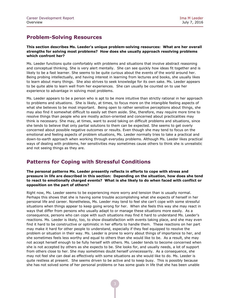## **Problem-Solving Resources**

#### **This section describes Ms. Leeder's unique problem-solving resources: What are her overall strengths for solving most problems? How does she usually approach resolving problems which confront her?**

Ms. Leeder functions quite comfortably with problems and situations that involve abstract reasoning and conceptual thinking. She is very alert mentally. She can see quickly how ideas fit together and is likely to be a fast learner. She seems to be quite curious about the events of the world around her. Being probing intellectually, and having interest in learning from lectures and books, she usually likes to learn about many things. She also strives to seek knowledge for its own sake. Ms. Leeder appears to be quite able to learn well from her experiences. She can usually be counted on to use her experience to advantage in solving most problems.

Ms. Leeder appears to be a person who is apt to be more intuitive than strictly rational in her approach to problems and situations. She is likely, at times, to focus more on the intangible feeling aspects of what she believes to be most important. Being open to rather sensitive perceptions about things, she may also find it somewhat difficult to easily set them aside. She, therefore, may require more time to resolve things than people who are mostly action-oriented and concerned about practicalities may think is necessary. She may, at times, want to avoid taking on difficult problems and situations, since she tends to believe that only partial solutions to them can be expected. She seems to get overly concerned about possible negative outcomes or results. Even though she may tend to focus on the emotional and feeling aspects of problem situations, Ms. Leeder normally tries to take a practical and down-to-earth approach when working through everyday problems. Although Ms. Leeder likes practical ways of dealing with problems, her sensitivities may sometimes cause others to think she is unrealistic and not seeing things as they are.

## **Patterns for Coping with Stressful Conditions**

**The personal patterns Ms. Leeder presently reflects in efforts to cope with stress and pressure in life are described in this section: Depending on the situation, how does she tend to react to emotionally charged events? What is she likely to do when faced with conflict or opposition on the part of others?**

Right now, Ms. Leeder seems to be experiencing more worry and tension than is usually normal. Perhaps this shows that she is having some trouble accomplishing what she expects of herself in her personal life and career. Nonetheless, Ms. Leeder may tend to feel she can't cope with some stressful situations when things appear to keep going wrong for her. When she feels this way she may react in ways that differ from persons who usually adapt to or manage these situations more easily. As a consequence, persons who can cope with such situations may find it hard to understand Ms. Leeder's reactions. Ms. Leeder is likely, too, to show dissatisfaction with events taking place, and she may even find it hard to be constructive or optimistic in her efforts to handle them. These reactions on her part may make it hard for other people to understand, especially if they feel equipped to resolve the problem or situation in their way. Ms. Leeder is prone to worry about things of importance to her, and she sometimes feels less worthy and equal to others than she would like to be. As a result, she may not accept herself enough to be fully herself with others. Ms. Leeder tends to become concerned when she is not accepted by others as she expects to be. She looks for, and usually needs, a lot of support from others close to her. She may sometimes doubt herself unnecessarily. As a consequence, she may not feel she can deal as effectively with some situations as she would like to do. Ms. Leeder is quite restless at present. She seems driven to be active and to keep busy. This is possibly because she has not solved some of her personal problems or has some goals in life that she has been unable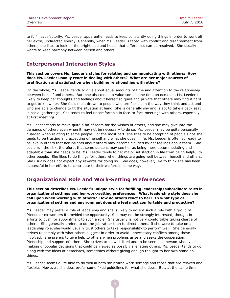to fulfill satisfactorily. Ms. Leeder apparently needs to keep constantly doing things in order to work off her extra, undirected energy. Generally, when Ms. Leeder is faced with conflict and disagreement from others, she likes to look on the bright side and hopes that differences can be resolved. She usually wants to keep harmony between herself and others.

## **Interpersonal Interaction Styles**

#### **This section covers Ms. Leeder's styles for relating and communicating with others: How does Ms. Leeder usually react in dealing with others? What are her major sources of gratification and satisfaction when building relationships with others?**

On the whole, Ms. Leeder tends to give about equal amounts of time and attention to the relationship between herself and others. But, she also tends to value some alone time on occasion. Ms. Leeder is likely to keep her thoughts and feelings about herself so quiet and private that others may find it hard to get to know her. She feels most drawn to people who are flexible in the way they think and act and who are able to change to fit the situation at hand. She is generally shy and is apt to take a back seat in social gatherings. She tends to feel uncomfortable in face-to-face meetings with others, especially at first meetings.

Ms. Leeder tends to make quite a bit of room for the wishes of others, and she may give into the demands of others even when it may not be necessary to do so. Ms. Leeder may be quite personally guarded when relating to some people. For the most part, she tries to be accepting of people since she tends to be trusting and accepting of herself and what she does in life. Ms. Leeder is often so ready to believe in others that her insights about others may become clouded by her feelings about them. She could run the risk, therefore, that some persons may see her as being more accommodating and adaptable than she needs to be. Ms. Leeder tends to get major satisfaction in life from being helpful to other people. She likes to do things for others when things are going well between herself and others. She usually does not expect any rewards for doing so. She does, however, like to think she has been successful in her efforts to contribute to their welfare in some way.

## **Organizational Role and Work-Setting Preferences**

**This section describes Ms. Leeder's unique style for fulfilling leadership/subordinate roles in organizational settings and her work-setting preferences: What leadership style does she call upon when working with others? How do others react to her? In what type of organizational setting and environment does she feel most comfortable and productive?**

Ms. Leeder may prefer a role of leadership and she is likely to accept such a role with a group of friends or co-workers if provided the opportunity. She may not be strongly interested, though, in efforts to push for appointment to such a role. She usually is not very comfortable taking charge of others. She generally prefers to do the job rather than to direct others. If she were to take on a leadership role, she would usually trust others to take responsibility to perform well. She generally strives to comply with what others suggest in order to avoid unnecessary conflicts among those involved. She prefers to give help to others when problems arise and seeks the cooperation, friendship and support of others. She strives to be well-liked and to be seen as a person who avoids making unpopular decisions that could be viewed as possibly alienating others. Ms. Leeder tends to go along with the ideas of associates, sometimes without giving enough thought to her own stand on things.

Ms. Leeder seems quite able to do well in both structured work settings and those that are relaxed and flexible. However, she does prefer some fixed guidelines for what she does. But, at the same time,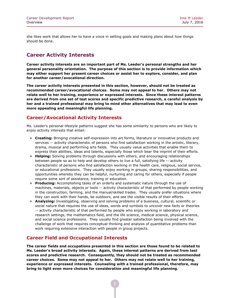she likes work that allows her to have a voice in setting goals and making plans about how things should be done.

## **Career Activity Interests**

**Career activity interests are an important part of Ms. Leeder's personal strengths and her general personality orientation. The purpose of this section is to provide information which may either support her present career choices or assist her to explore, consider, and plan for another career/avocational direction.**

**The career activity interests presented in this section, however, should not be treated as recommended career/avocational choices. Some may not appeal to her. Others may not relate well to her training, experience or expressed interests. Since these interest patterns are derived from one set of test scores and specific predictive research, a careful analysis by her and a trained professional may bring to mind other alternatives that may lead to even more appealing and meaningful life planning.**

## **Career/Avocational Activity Interests**

Ms. Leeder's personal lifestyle patterns suggest she has some similarity to persons who are likely to enjoy activity interests that entail:

- **Creating:** Bringing creative self-expression into art forms, literature or innovative products and services -- activity characteristic of persons who find satisfaction working in the artistic, literary, drama, musical and performing arts fields. They usually value activities that enable them to express their abilities, ideas and talents, especially those which bear the imprint of their efforts.
- **Helping:** Solving problems through discussions with others, and encouraging relationships between people so as to help and develop others to live a full, satisfying life -- activity characteristic of persons who find satisfaction working in the health care, religious, social service, or educational professions. They usually enjoy working in groups, sharing responsibilities, and opportunities whereby they can be helpful, nurturing and caring for others, especially if people require some sort of assistance, training or education.
- **Producing:** Accomplishing tasks of an orderly and systematic nature through the use of machines, materials, objects or tools -- activity characteristic of that performed by people working in the construction, farming, and the manual/skilled trades. They usually prefer situations where they can work with their hands, be outdoors, and see the visible results of their efforts.
- **Analyzing:** Investigating, observing and solving problems of a business, cultural, scientific or social nature that requires the use of ideas, words and symbols to uncover new facts or theories -- activity characteristic of that performed by people who enjoy working in laboratory and research settings, the mathematics field, and the life science, medical science, physical science, and social science professions. They usually find greater satisfaction being involved with the challenge of work that requires conceptual thinking and analysis of quantitative problems than work requiring extensive interaction with people in group projects.

## **Career Field and Occupational Interests**

**The career fields and occupations presented in this section are those found to be related to Ms. Leeder's broad activity interests. Again, these interest patterns are derived from test scores and predictive research. Consequently, they should not be treated as recommended career choices. Some may not appeal to her. Others may not relate well to her training, experience or expressed interests. Counseling with a trained professional, therefore, may bring to light even more choices for consideration and meaningful life planning.**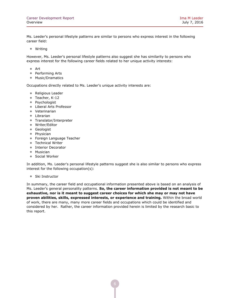Ms. Leeder's personal lifestyle patterns are similar to persons who express interest in the following career field:

Writing

However, Ms. Leeder's personal lifestyle patterns also suggest she has similarity to persons who express interest for the following career fields related to her unique activity interests:

- Art
- Performing Arts
- Music/Dramatics

Occupations directly related to Ms. Leeder's unique activity interests are:

- Religious Leader
- Teacher, K-12
- Psychologist
- Liberal Arts Professor
- Veterinarian
- Librarian
- **Translator/Interpreter**
- Writer/Editor
- **Geologist**
- Physician
- **•** Foreign Language Teacher
- Technical Writer
- **Interior Decorator**
- Musician
- Social Worker

In addition, Ms. Leeder's personal lifestyle patterns suggest she is also similar to persons who express interest for the following occupation(s):

• Ski Instructor

In summary, the career field and occupational information presented above is based on an analysis of Ms. Leeder's general personality patterns. **So, the career information provided is not meant to be exhaustive, nor is it meant to suggest career choices for which she may or may not have proven abilities, skills, expressed interests, or experience and training.** Within the broad world of work, there are many, many more career fields and occupations which could be identified and considered by her. Rather, the career information provided herein is limited by the research basic to this report.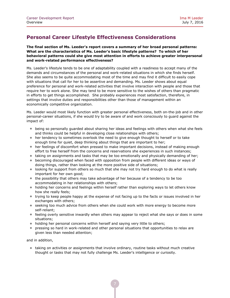## **Personal Career Lifestyle Effectiveness Considerations**

**The final section of Ms. Leeder's report covers a summary of her broad personal patterns: What are the characteristics of Ms. Leeder's basic lifestyle patterns? To which of her behavioral patterns could she give most attention in efforts to achieve greater interpersonal and work-related performance effectiveness?**

Ms. Leeder's lifestyle tends to be one of adaptability coupled with a readiness to accept many of the demands and circumstances of the personal and work-related situations in which she finds herself. She also seems to be quite accommodating most of the time and may find it difficult to easily cope with situations that call for her to be assertive and demanding. Ms. Leeder shows about equal preference for personal and work-related activities that involve interaction with people and those that require her to work alone. She may tend to be more sensitive to the wishes of others than pragmatic in efforts to get things accomplished. She probably experiences most satisfaction, therefore, in settings that involve duties and responsibilities other than those of management within an economically competitive organization.

Ms. Leeder would most likely function with greater personal effectiveness, both on-the-job and in other personal-career situations, if she would try to be aware of and work consciously to guard against the impact of:

- being so personally guarded about sharing her ideas and feelings with others when what she feels and thinks could be helpful in developing close relationships with others;
- her tendency to sometimes overlook the need to give enough thought to herself or to take enough time for quiet, deep thinking about things that are important to her;
- her feelings of discomfort when pressed to make important decisions, instead of making enough effort to free herself from the concerns and reservations she experiences in such instances;
- taking on assignments and tasks that may be too emotionally and physically demanding of her;
- **•** becoming discouraged when faced with opposition from people with different ideas or ways of doing things, rather than looking at the more positive side of situations;
- looking for support from others so much that she may not try hard enough to do what is really important for her own good;
- the possibility that others may take advantage of her because of a tendency to be too accommodating in her relationships with others;
- holding her concerns and feelings within herself rather than exploring ways to let others know how she really feels;
- trying to keep people happy at the expense of not facing up to the facts or issues involved in her exchanges with others;
- seeking too much advice from others when she could work with more energy to become more self-reliant;
- feeling overly sensitive inwardly when others may appear to reject what she says or does in some situations;
- holding her personal concerns within herself and saying very little to others;
- pressing so hard in work-related and other personal situations that opportunities to relax are given less than needed attention;

and in addition,

 taking on activities or assignments that involve ordinary, routine tasks without much creative thought or tasks that may not fully challenge Ms. Leeder's intelligence or curiosity.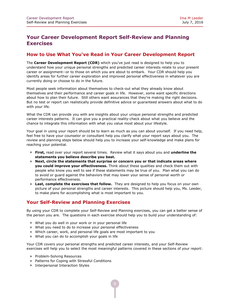## **Your Career Development Report Self-Review and Planning Exercises**

## **How to Use What You've Read in Your Career Development Report**

The **Career Development Report (CDR)** which you've just read is designed to help you to understand how your unique personal strengths and predicted career interests relate to your present career or assignment--or to those on which you are about to embark. Your CDR should help you identify areas for further career exploration and improved personal effectiveness in whatever you are currently doing or choose to do in the future.

Most people seek information about themselves to check-out what they already know about themselves and their performance and career goals in life. However, some want specific directions about how to plan their future. Still others want assurances that they're making the right decisions. But no test or report can realistically provide definitive advice or guaranteed answers about what to do with your life.

What the CDR can provide you with are insights about your unique personal strengths and predicted career interests patterns. It can give you a practical reality-check about what you believe and the chance to integrate this information with what you value most about your lifestyle.

Your goal in using your report should be to learn as much as you can about yourself. If you need help, feel free to have your counselor or consultant help you clarify what your report says about you. The review and planning steps below should help you to increase your self-knowledge and make plans for reaching your potential.

- **First,** read over your report several times. Review what it says about you and **underline the statements you believe describe you best.**
- **Next, circle the statements that surprise or concern you or that indicate areas where you could improve your effectiveness.** Think about these qualities and check them out with people who know you well to see if these statements may be true of you. Plan what you can do to avoid or guard against the behaviors that may lower your sense of personal worth or performance effectiveness.
- **Last, complete the exercises that follow.** They are designed to help you focus on your own picture of your personal strengths and career interests. This picture should help you, Ms. Leeder, to make plans for accomplishing what is most important to you.

## **Your Self-Review and Planning Exercises**

By using your CDR to complete your Self-Review and Planning exercises, you can get a better sense of the person you are. The questions in each exercise should help you to build your understanding of:

- What you do well in your work or in your personal life
- What you need to do to increase your personal effectiveness
- Which career, work, and personal life goals are most important to you
- What you can do to accomplish your goals in life

Your CDR covers your personal strengths and predicted career interests, and your Self-Review exercises will help you to select the most meaningful patterns covered in these sections of your report:

- Problem-Solving Resources
- Patterns for Coping with Stressful Conditions
- Interpersonal Interaction Styles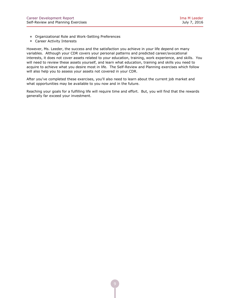- Organizational Role and Work-Setting Preferences
- **Career Activity Interests**

However, Ms. Leeder, the success and the satisfaction you achieve in your life depend on many variables. Although your CDR covers your personal patterns and predicted career/avocational interests, it does not cover assets related to your education, training, work experience, and skills. You will need to review these assets yourself, and learn what education, training and skills you need to acquire to achieve what you desire most in life. The Self-Review and Planning exercises which follow will also help you to assess your assets not covered in your CDR.

After you've completed these exercises, you'll also need to learn about the current job market and what opportunities may be available to you now and in the future.

Reaching your goals for a fulfilling life will require time and effort. But, you will find that the rewards generally far exceed your investment.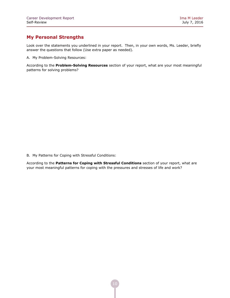## **My Personal Strengths**

Look over the statements you underlined in your report. Then, in your own words, Ms. Leeder, briefly answer the questions that follow (Use extra paper as needed).

A. My Problem-Solving Resources:

According to the **Problem-Solving Resources** section of your report, what are your most meaningful patterns for solving problems?

B. My Patterns for Coping with Stressful Conditions:

According to the **Patterns for Coping with Stressful Conditions** section of your report, what are your most meaningful patterns for coping with the pressures and stresses of life and work?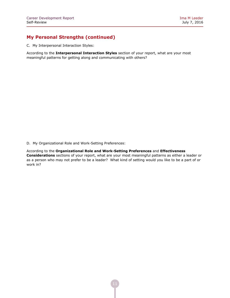## **My Personal Strengths (continued)**

C. My Interpersonal Interaction Styles:

According to the **Interpersonal Interaction Styles** section of your report, what are your most meaningful patterns for getting along and communicating with others?

D. My Organizational Role and Work-Setting Preferences:

According to the **Organizational Role and Work-Setting Preferences** and **Effectiveness Considerations** sections of your report, what are your most meaningful patterns as either a leader or as a person who may not prefer to be a leader? What kind of setting would you like to be a part of or work in?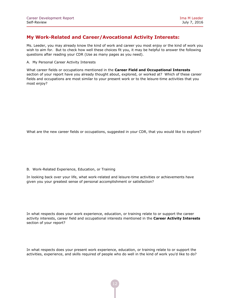## **My Work-Related and Career/Avocational Activity Interests:**

Ms. Leeder, you may already know the kind of work and career you most enjoy or the kind of work you wish to aim for. But to check how well these choices fit you, it may be helpful to answer the following questions after reading your CDR (Use as many pages as you need).

A. My Personal Career Activity Interests

What career fields or occupations mentioned in the **Career Field and Occupational Interests** section of your report have you already thought about, explored, or worked at? Which of these career fields and occupations are most similar to your present work or to the leisure-time activities that you most enjoy?

What are the new career fields or occupations, suggested in your CDR, that you would like to explore?

#### B. Work-Related Experience, Education, or Training

In looking back over your life, what work-related and leisure-time activities or achievements have given you your greatest sense of personal accomplishment or satisfaction?

In what respects does your work experience, education, or training relate to or support the career activity interests, career field and occupational interests mentioned in the **Career Activity Interests** section of your report?

In what respects does your present work experience, education, or training relate to or support the activities, experience, and skills required of people who do well in the kind of work you'd like to do?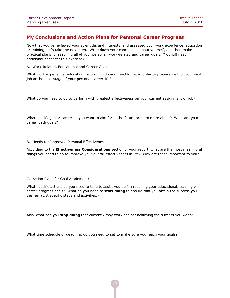## **My Conclusions and Action Plans for Personal Career Progress**

Now that you've reviewed your strengths and interests, and assessed your work experience, education or training, let's take the next step. Write down your conclusions about yourself, and then make practical plans for reaching all of your personal, work-related and career goals. (You will need additional paper for this exercise)

A. Work-Related, Educational and Career Goals:

What work experience, education, or training do you need to get in order to prepare well for your next job or the next stage of your personal career life?

What do you need to do to perform with greatest effectiveness on your current assignment or job?

What specific job or career do you want to aim for in the future or learn more about? What are your career path goals?

B. Needs for Improved Personal Effectiveness:

According to the **Effectiveness Considerations** section of your report, what are the most meaningful things you need to do to improve your overall effectiveness in life? Why are these important to you?

#### C. Action Plans for Goal Attainment:

What specific actions do you need to take to assist yourself in reaching your educational, training or career progress goals? What do you need to **start doing** to ensure that you attain the success you desire? (List specific steps and activities.)

Also, what can you **stop doing** that currently may work against achieving the success you want?

What time schedule or deadlines do you need to set to make sure you reach your goals?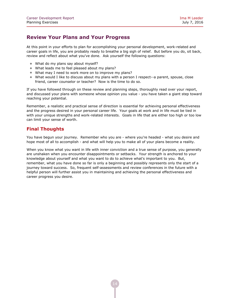## **Review Your Plans and Your Progress**

At this point in your efforts to plan for accomplishing your personal development, work-related and career goals in life, you are probably ready to breathe a big sigh of relief. But before you do, sit back, review and reflect about what you've done. Ask yourself the following questions:

- What do my plans say about myself?
- What leads me to feel pleased about my plans?
- What may I need to work more on to improve my plans?
- What would I like to discuss about my plans with a person I respect--a parent, spouse, close friend, career counselor or teacher? Now is the time to do so.

If you have followed through on these review and planning steps, thoroughly read over your report, and discussed your plans with someone whose opinion you value - you have taken a giant step toward reaching your potential.

Remember, a realistic and practical sense of direction is essential for achieving personal effectiveness and the progress desired in your personal career life. Your goals at work and in life must be tied in with your unique strengths and work-related interests. Goals in life that are either too high or too low can limit your sense of worth.

## **Final Thoughts**

You have begun your journey. Remember who you are - where you're headed - what you desire and hope most of all to accomplish - and what will help you to make all of your plans become a reality.

When you know what you want in life with inner conviction and a true sense of purpose, you generally are unshaken when you encounter disappointments or setbacks. Your strength is anchored to your knowledge about yourself and what you want to do to achieve what's important to you. But, remember, what you have done so far is only a beginning and possibly represents only the start of a journey toward success. So, frequent self-assessments and review conferences in the future with a helpful person will further assist you in maintaining and achieving the personal effectiveness and career progress you desire.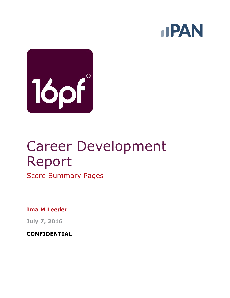



# Career Development Report

Score Summary Pages

**Ima M Leeder**

**July 7, 2016**

**CONFIDENTIAL**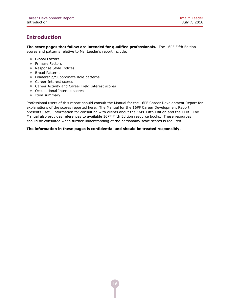## **Introduction**

**The score pages that follow are intended for qualified professionals.** The 16PF Fifth Edition scores and patterns relative to Ms. Leeder's report include:

- Global Factors
- Primary Factors
- Response Style Indices
- Broad Patterns
- Leadership/Subordinate Role patterns
- **Career Interest scores**
- Career Activity and Career Field Interest scores
- Occupational Interest scores
- Item summary

Professional users of this report should consult the Manual for the 16PF Career Development Report for explanations of the scores reported here. The Manual for the 16PF Career Development Report presents useful information for consulting with clients about the 16PF Fifth Edition and the CDR. The Manual also provides references to available 16PF Fifth Edition resource books. These resources should be consulted when further understanding of the personality scale scores is required.

#### **The information in these pages is confidential and should be treated responsibly.**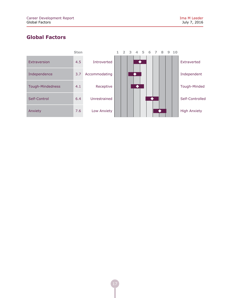## **Global Factors**

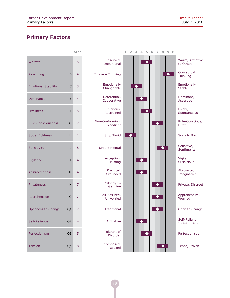## **Primary Factors**

|                            |                | <b>Sten</b>    |
|----------------------------|----------------|----------------|
| Warmth                     | A              | 5              |
| Reasoning                  | B              | 9              |
| <b>Emotional Stability</b> | C              | 3              |
| Dominance                  | E              | 4              |
| Liveliness                 | F              | 5              |
| <b>Rule-Consciousness</b>  | G              | 7              |
| <b>Social Boldness</b>     | н              | $\overline{2}$ |
| Sensitivity                | I              | 8              |
| Vigilance                  | L              | 4              |
| <b>Abstractedness</b>      | M              | 4              |
| <b>Privateness</b>         | N              | 7              |
| Apprehension               | O              | 7              |
| Openness to Change         | Q1             | 7              |
| Self-Reliance              | Q <sub>2</sub> | 4              |
| Perfectionism              | Q3             | 5              |
| <b>Tension</b>             | Q4             | 8              |

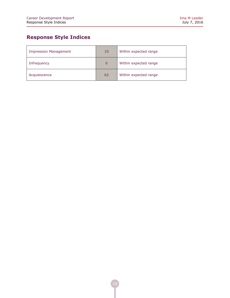## **Response Style Indices**

| <b>Impression Management</b> | 10          | Within expected range |
|------------------------------|-------------|-----------------------|
| Infrequency                  | $\mathbf 0$ | Within expected range |
| Acquiescence                 | 62          | Within expected range |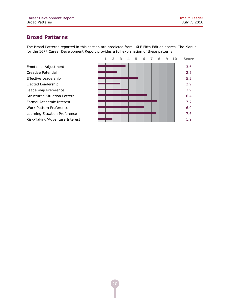## **Broad Patterns**

The Broad Patterns reported in this section are predicted from 16PF Fifth Edition scores. The Manual for the 16PF Career Development Report provides a full explanation of these patterns.

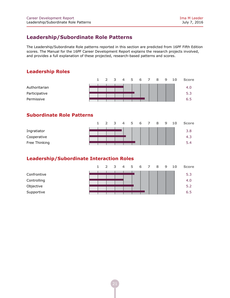## **Leadership/Subordinate Role Patterns**

The Leadership/Subordinate Role patterns reported in this section are predicted from 16PF Fifth Edition scores. The Manual for the 16PF Career Development Report explains the research projects involved, and provides a full explanation of these projected, research-based patterns and scores.

## **Leadership Roles**

|                                              |  |  | 1 2 3 4 5 6 7 8 9 10 |  |  |  | <b>Score</b>      |
|----------------------------------------------|--|--|----------------------|--|--|--|-------------------|
| Authoritarian<br>Participative<br>Permissive |  |  |                      |  |  |  | 4.0<br>5.3<br>6.5 |
|                                              |  |  |                      |  |  |  |                   |

## **Subordinate Role Patterns**

|               | $1 -$ | 2 3 4 5 6 7 8 |  |  | - 9 | - 10 | <b>Score</b> |
|---------------|-------|---------------|--|--|-----|------|--------------|
| Ingratiator   |       |               |  |  |     |      | 3.8          |
| Cooperative   |       |               |  |  |     |      | -4.ఎ         |
| Free Thinking |       |               |  |  |     |      | 5.4          |

## **Leadership/Subordinate Interaction Roles**

|             |  | 1 2 3 4 5 6 7 8 |  |  | 9 | 10 | <b>Score</b> |
|-------------|--|-----------------|--|--|---|----|--------------|
| Confrontive |  |                 |  |  |   |    | 5.3          |
| Controlling |  |                 |  |  |   |    | 4.0          |
| Objective   |  |                 |  |  |   |    | 5.2          |
| Supportive  |  |                 |  |  |   |    | 6.5          |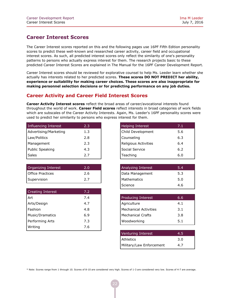## **Career Interest Scores**

The Career Interest scores reported on this and the following pages use 16PF Fifth Edition personality scores to predict these well-known and researched career activity, career field and occupational interest scores. As such, all predicted interest scores only reflect the similarity of one's personality patterns to persons who actually express interest for them. The research projects basic to these predicted Career Interest Scores are explained in The Manual for the 16PF Career Development Report.

Career Interest scores should be reviewed for explorative counsel to help Ms. Leeder learn whether she actually has interests related to her predicted scores. **These scores DO NOT PREDICT her ability, experience or suitability for making career choices. These scores are also inappropriate for making personnel selection decisions or for predicting performance on any job duties.**

## **Career Activity and Career Field Interest Scores**

**Career Activity Interest scores** reflect the broad areas of career/avocational interests found throughout the world of work. **Career Field scores** reflect interests in broad categories of work fields which are subscales of the Career Activity Interests. Again, Ms. Leeder's 16PF personality scores were used to predict her similarity to persons who express interest for them.

| Influencing Interest  | 2.3 |
|-----------------------|-----|
| Advertising/Marketing | 1.3 |
| Law/Politics          | 2.8 |
| Management            | 2.3 |
| Public Speaking       | 4.3 |
| Sales                 | 2.7 |

| Organizing Interest | 2.0 |
|---------------------|-----|
| Office Practices    | 2.6 |
| Supervision         | 2.7 |

| <b>Creating Interest</b> | 7.2 |
|--------------------------|-----|
| Art                      | 7.4 |
| Arts/Design              | 4.7 |
| Fashion                  | 4.8 |
| Music/Dramatics          | 6.9 |
| Performing Arts          | 7.3 |
| Writing                  | 7.6 |

| <b>Helping Interest</b> | 7.1 |
|-------------------------|-----|
| Child Development       | 5.6 |
| Counseling              | 6.3 |
| Religious Activities    | 6.4 |
| Social Service          | 6.2 |
| Teaching                | 6.0 |

| Analyzing Interest | 5.4 |
|--------------------|-----|
| Data Management    | 5.3 |
| Mathematics        | 5.0 |
| Science            | 4.6 |

| <b>Producing Interest</b> | 6.6 |
|---------------------------|-----|
| Agriculture               | 4.1 |
| Mechanical Activities     | 3.1 |
| Mechanical Crafts         | 3.8 |
| <b>Woodworking</b>        | 5.1 |

| Venturing Interest       | 4.5 |
|--------------------------|-----|
| Athletics                | 3.0 |
| Military/Law Enforcement | 4.7 |

\* Note: Scores range from 1 through 10. Scores of 8-10 are considered very high. Scores of 1-3 are considered very low. Scores of 4-7 are average.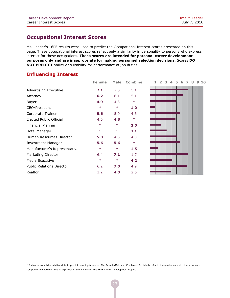## **Occupational Interest Scores**

Ms. Leeder's 16PF results were used to predict the Occupational Interest scores presented on this page. These occupational interest scores reflect only a similarity in personality to persons who express interest for these occupations. **These scores are intended for personal career development purposes only and are inappropriate for making personnel selection decisions.** Scores **DO NOT PREDICT** ability or suitability for performance of job duties.

## **Influencing Interest**

| <b>Advertising Executive</b>     | 7.1    | 7.0    | 5.1    |
|----------------------------------|--------|--------|--------|
| Attorney                         | 6.2    | 6.1    | 5.1    |
| Buyer                            | 4.9    | 4.3    | $\ast$ |
| CEO/President                    | $\ast$ | $\ast$ | 1.0    |
| Corporate Trainer                | 5.6    | 5.0    | 4.6    |
| Elected Public Official          | 4.6    | 4.8    | $\ast$ |
| <b>Financial Planner</b>         | $\ast$ | $\ast$ | 2.0    |
| Hotel Manager                    | $\ast$ | $\ast$ | 3.1    |
| Human Resources Director         | 5.0    | 4.5    | 4.3    |
| <b>Investment Manager</b>        | 5.6    | 5.6    | $\ast$ |
| Manufacturer's Representative    | $\ast$ | $\ast$ | 1.5    |
| Marketing Director               | 6.4    | 7.1    | 1.7    |
| Media Executive                  | $\ast$ | $\ast$ | 4.2    |
| <b>Public Relations Director</b> | 6.2    | 7.0    | 4.9    |
| Realtor                          | 3.2    | 4.0    | 2.6    |

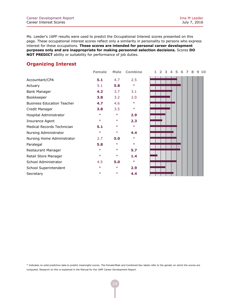## **Organizing Interest**

|                                   | <b>Female</b> | <b>Male</b> | <b>Combine</b> | $\overline{ }$<br>9<br>з<br>6<br>8<br>10<br>5 |
|-----------------------------------|---------------|-------------|----------------|-----------------------------------------------|
| Accountant/CPA                    | 5.1           | 4.7         | 2.5            |                                               |
| Actuary                           | 5.1           | 5.8         | $\ast$         |                                               |
| Bank Manager                      | 4.2           | 3.7         | 3.1            |                                               |
| Bookkeeper                        | 3.8           | 3.2         | 2.0            |                                               |
| <b>Business Education Teacher</b> | 4.7           | 4.6         | $\ast$         |                                               |
| Credit Manager                    | 3.8           | 3.5         | $\ast$         |                                               |
| Hospital Administrator            | $\ast$        | $\ast$      | 2.9            |                                               |
| Insurance Agent                   | $\ast$        | $\ast$      | 2.3            |                                               |
| Medical Records Technician        | 5.1           | $\ast$      | $\ast$         |                                               |
| Nursing Administrator             | $\ast$        | $\ast$      | 4.4            |                                               |
| Nursing Home Administrator        | 2.7           | 5.0         | $\ast$         |                                               |
| Paralegal                         | 5.8           | $\ast$      | $\ast$         |                                               |
| Restaurant Manager                | $\ast$        | $\ast$      | 5.7            |                                               |
| Retail Store Manager              | $\ast$        | $\ast$      | 1.4            |                                               |
| School Administrator              | 4.5           | 5.0         | $\ast$         |                                               |
| School Superintendent             | $\ast$        | $\ast$      | 2.9            |                                               |
| Secretary                         | $\ast$        | $\ast$      | 4.4            |                                               |



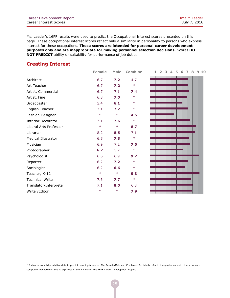## **Creating Interest**

|                            | Female | Male   | Combin |
|----------------------------|--------|--------|--------|
| Architect                  | 6.7    | 7.2    | 4.7    |
| Art Teacher                | 6.7    | 7.2    | $\ast$ |
| Artist, Commercial         | 6.7    | 7.1    | 7.4    |
| Artist, Fine               | 6.8    | 7.0    | $\ast$ |
| <b>Broadcaster</b>         | 5.4    | 6.1    | $\ast$ |
| English Teacher            | 7.1    | 7.2    | $\ast$ |
| <b>Fashion Designer</b>    | $\ast$ | $\ast$ | 4.5    |
| <b>Interior Decorator</b>  | 7.1    | 7.6    | $\ast$ |
| Liberal Arts Professor     | $\ast$ | $\ast$ | 8.7    |
| Librarian                  | 8.2    | 8.5    | 7.1    |
| <b>Medical Illustrator</b> | 6.5    | 7.3    | $\ast$ |
| Musician                   | 6.9    | 7.2    | 7.6    |
| Photographer               | 6.2    | 5.7    | $\ast$ |
| Psychologist               | 6.6    | 6.9    | 9.2    |
| Reporter                   | 6.2    | 7.2    | $\ast$ |
| Sociologist                | 6.2    | 6.6    | $\ast$ |
| Teacher, K-12              | $\ast$ | $\ast$ | 9.3    |
| <b>Technical Writer</b>    | 7.6    | 7.7    | $\ast$ |
| Translator/Interpreter     | 7.1    | 8.0    | 6.8    |
| Writer/Editor              | $\ast$ | $\ast$ | 7.9    |

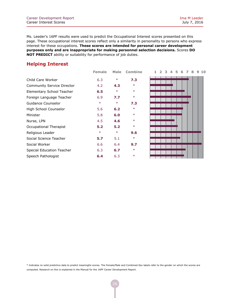## **Helping Interest**

|                                   | Female | male   | Combin |
|-----------------------------------|--------|--------|--------|
| Child Care Worker                 | 6.3    | $\ast$ | 7.3    |
| <b>Community Service Director</b> | 4.2    | 4.3    | $\ast$ |
| Elementary School Teacher         | 6.5    | $\ast$ | $\ast$ |
| Foreign Language Teacher          | 6.9    | 7.7    | $\ast$ |
| Guidance Counselor                | $\ast$ | $\ast$ | 7.3    |
| High School Counselor             | 5.6    | 6.2    | $\ast$ |
| Minister                          | 5.8    | 6.0    | $\ast$ |
| Nurse, LPN                        | 4.5    | 4.6    | $\ast$ |
| Occupational Therapist            | 5.2    | 5.2    | $\ast$ |
| Religious Leader                  | $\ast$ | $\ast$ | 9.6    |
| Social Science Teacher            | 5.7    | 5.1    | $\ast$ |
| Social Worker                     | 6.6    | 6.4    | 9.7    |
| Special Education Teacher         | 6.3    | 6.7    | $\ast$ |
| Speech Pathologist                | 6.4    | 6.3    | $\ast$ |

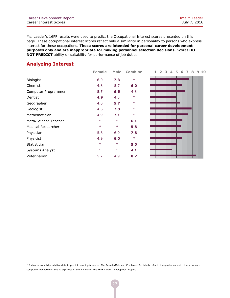## **Analyzing Interest**

|                           | Female | Male   | Combin |
|---------------------------|--------|--------|--------|
| <b>Biologist</b>          | 6.0    | 7.3    | $\ast$ |
| Chemist                   | 4.8    | 5.7    | 6.0    |
| Computer Programmer       | 5.5    | 6.6    | 4.8    |
| Dentist                   | 4.9    | 4.3    | $\ast$ |
| Geographer                | 4.0    | 5.7    | $\ast$ |
| Geologist                 | 4.6    | 7.8    | $\ast$ |
| Mathematician             | 4.9    | 7.1    | $\ast$ |
| Math/Science Teacher      | $\ast$ | $\ast$ | 6.1    |
| <b>Medical Researcher</b> | $\ast$ | $\ast$ | 5.8    |
| Physician                 | 5.8    | 6.9    | 7.8    |
| Physicist                 | 4.9    | 6.0    | $\ast$ |
| Statistician              | $\ast$ | $\ast$ | 5.0    |
| Systems Analyst           | $\ast$ | $\ast$ | 4.1    |
| Veterinarian              | 5.2    | 4.9    | 8.7    |

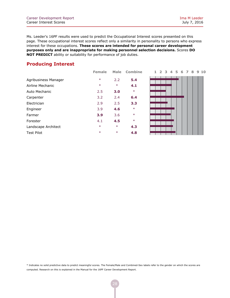## **Producing Interest**

|                      | remale | мање   | compin |
|----------------------|--------|--------|--------|
| Agribusiness Manager | $\ast$ | 2.2    | 5.4    |
| Airline Mechanic     | $\ast$ | $\ast$ | 4.1    |
| Auto Mechanic        | 2.5    | 3.0    | $\ast$ |
| Carpenter            | 3.2    | 2.4    | 6.4    |
| Electrician          | 2.9    | 2.5    | 3.3    |
| Engineer             | 3.9    | 4.6    | $\ast$ |
| Farmer               | 3.9    | 3.6    | $\ast$ |
| Forester             | 4.1    | 4.5    | $\ast$ |
| Landscape Architect  | $\ast$ | $\ast$ | 4.3    |
| Test Pilot           | $\ast$ | $\ast$ | 4.8    |
|                      |        |        |        |

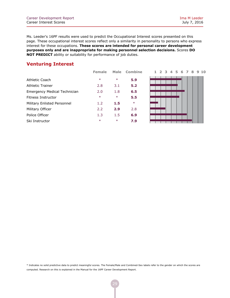## **Venturing Interest**

|                              | remale           | маю    | COMDIN |
|------------------------------|------------------|--------|--------|
| Athletic Coach               | $\ast$           | $\ast$ | 5.9    |
| <b>Athletic Trainer</b>      | 2.8              | 3.1    | 5.2    |
| Emergency Medical Technician | 2.0              | 1.8    | 6.5    |
| Fitness Instructor           | $\ast$           | $\ast$ | 5.5    |
| Military Enlisted Personnel  | 1.2 <sub>2</sub> | 1.5    | $\ast$ |
| Military Officer             | $2.2^{\circ}$    | 2.9    | 2.8    |
| Police Officer               | 1.3              | 1.5    | 6.9    |
| Ski Instructor               | $\ast$           | $\ast$ | 7.9    |
|                              |                  |        |        |

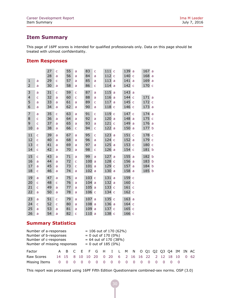## **Item Summary**

This page of 16PF scores is intended for qualified professionals only. Data on this page should be treated with utmost confidentiality.

## **Item Responses**

|                |                | 27<br>28 | C<br>a       | 55<br>56 | a<br>a         | 83<br>84         | C<br>a | 111<br>112 | $\mathsf{C}$<br>$\mathsf{C}$ | 139<br>140 | a<br>$\mathsf{C}$ | 167a<br>168a |  |
|----------------|----------------|----------|--------------|----------|----------------|------------------|--------|------------|------------------------------|------------|-------------------|--------------|--|
| $\mathbf{1}$   | a              | 29       | C            | 57       | a              | 85               | a      | 113        | a                            | 141        | a                 | 169a         |  |
| $\overline{2}$ | a              | 30       | a            | 58       | a              | 86               | C      | 114        | a                            | 142        | $\mathsf{C}$      | 170 c        |  |
|                |                |          |              |          |                |                  |        |            |                              |            |                   |              |  |
| 3              | a              | 31       | Ċ            | 59       | $\overline{C}$ | 87               | a      | 115        | a                            | 143        | a                 |              |  |
| $\overline{4}$ | $\mathsf{C}$   | 32       | a            | 60       | $\mathsf{C}$   | 88               | a      | 116        | a                            | 144        | $\mathsf{C}$      | 171a         |  |
| 5              | a              | 33       | a            | 61       | a              | 89               | Ċ      | 117        | a                            | 145        | $\mathsf{C}$      | 172 c        |  |
| 6              | a              | 34       | a            | 62       | a              | 90               | a      | 118        | $\mathsf{C}$                 | 146        | $\mathsf{C}$      | 173 a        |  |
| $\overline{7}$ | a              | 35       | C            | 63       | a              | 91               | Ċ      | 119        | $\mathsf{C}$                 | 147        | $\mathsf{C}$      | 174 a        |  |
| 8              | Ċ              | 36       | a            | 64       | a              | 92               | a      | 120        | a                            | 148        | a                 | 175 c        |  |
| 9              | Ċ              | 37       | a            | 65       | a              | 93               | a      | 121        | $\mathsf{C}$                 | 149        | a                 | 176 a        |  |
| 10             | a              | 38       | a            | 66       | C              | 94               | C      | 122        | a                            | 150        | a                 | 177 b        |  |
| 11             | $\overline{C}$ | 39       | a            | 67       | a              | 95               | Ċ      | 123        | a                            | 151        | $\mathsf{C}$      | 178 c        |  |
| 12             | $\mathsf{C}$   | 40       | a            | 68       | a              | 96               | a      | 124        | $\mathsf{C}$                 | 152        | a                 | 179 c        |  |
| 13             | $\mathsf{C}$   | 41       | a            | 69       | a              | 97               | a      | 125        | a                            | 153        | $\mathsf{C}$      | 180 c        |  |
| 14             | $\mathsf{C}$   | 42       | a            | 70       | a              | 98               | C      | 126        | a                            | 154 c      |                   | 181 b        |  |
|                |                |          |              |          |                |                  |        |            |                              |            |                   |              |  |
| 15             | $\overline{C}$ | 43       | a            | 71       | a              | 99               | a      | 127        | a                            | 155        | a                 | 182 b        |  |
| 16             | a              | 44       | a            | 72       | $\overline{C}$ | 100              | a      | 128        | $\mathsf{C}$                 | 156        | a                 | 183 b        |  |
| 17             | a              | 45       | a            | 73       | C              | 101              | a      | 129        | $\mathsf{C}$                 | 157        | a                 | 184 b        |  |
| 18             | $\mathsf C$    | 46       | a            | 74       | a              | 102              | a      | 130        | a                            | 158        | a                 | 185 b        |  |
| 19             | a              | 47       | a            | 75       | a              | 103 c            |        | 131        | a                            | 159        | $\mathsf{C}$      |              |  |
| 20             | $\mathsf{C}$   | 48       | Ċ            | 76       | a              | 104a             |        | 132        | a                            | 160 с      |                   |              |  |
| 21             | $\mathsf{C}$   | 49       | a            | 77       | a              | 105a             |        | 133        | $\mathsf{C}$                 | 161 c      |                   |              |  |
| 22             | a              | 50       | a            | 78       | a              | 106 <sub>c</sub> |        | 134        | $\mathsf{C}$                 | 162 c      |                   |              |  |
| 23             |                | 51       |              | 79       |                | 107              |        | 135        | $\mathsf{C}$                 | 163a       |                   |              |  |
|                | a              |          | Ċ            |          | a              |                  | a      |            |                              |            |                   |              |  |
| 24             | $\mathsf{C}$   | 52       | $\mathsf{C}$ | 80       | a              | 108a             |        | 136        | a                            | 164 с      |                   |              |  |
| 25             | a              | 53       | a            | 81       | a              | 109a             |        | 137        | $\mathsf{C}$                 | 165 c      |                   |              |  |
| 26             | a              | 54       | a            | 82       | Ċ              | 110a             |        | 138        | $\mathsf{C}$                 | 166 c      |                   |              |  |

## **Summary Statistics**

| Number of a-responses<br>Number of b-responses<br>Number of c-responses<br>Number of missing responses |    |            |  |  | $= 106$ out of 170 (62%)<br>$= 0$ out of 170 (0%)<br>$= 64$ out of 170 (38%)<br>$= 0$ out of 185 (0%) |  |   |                                              |   |  |  |  |         |  |    |              |
|--------------------------------------------------------------------------------------------------------|----|------------|--|--|-------------------------------------------------------------------------------------------------------|--|---|----------------------------------------------|---|--|--|--|---------|--|----|--------------|
| Factor                                                                                                 |    |            |  |  |                                                                                                       |  |   | A B C E F G H I L M N O Q1 Q2 Q3 Q4 IM IN AC |   |  |  |  |         |  |    |              |
| Raw Scores                                                                                             |    | 14 15 8 10 |  |  | 10 20                                                                                                 |  |   | 0 20 6 2 16 16 22                            |   |  |  |  | 2 12 18 |  | 10 | $0 \quad 62$ |
| Missing Items                                                                                          | O. |            |  |  |                                                                                                       |  | 0 | - 0                                          | 0 |  |  |  |         |  |    |              |

This report was processed using 16PF Fifth Edition Questionnaire combined-sex norms. OSP (3.0)